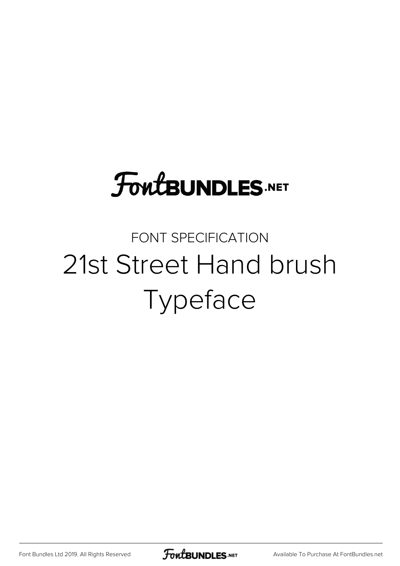## **FoutBUNDLES.NET**

#### FONT SPECIFICATION 21st Street Hand brush Typeface

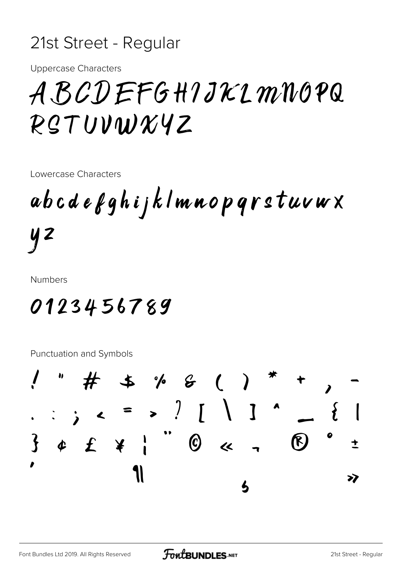#### 21st Street - Regular

**Uppercase Characters** 

### ABCDEFGHIJKLMNOPQ RSTUVWXYZ

Lowercase Characters

abcdefghijklmnopqrstuvwx y z

**Numbers** 

#### 0123456789

**Punctuation and Symbols** 

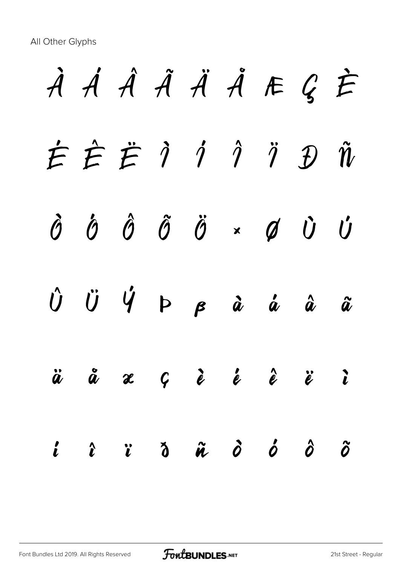All Other Glyphs

# À Á Â Ã Ä Å Æ Ç È É Ê Ë Ì Í Î Ï Ð Ñ Ò Ó Ô Õ Ö × Ø Ù Ú  $\hat{U}$   $\ddot{U}$   $\dot{\gamma}$   $\beta$   $\beta$   $\dot{a}$   $\dot{a}$   $\dot{a}$   $\dot{a}$   $\ddot{a}$ ä å æ ç è é ê ë ì í î ï ð ñ ò ó ô õ